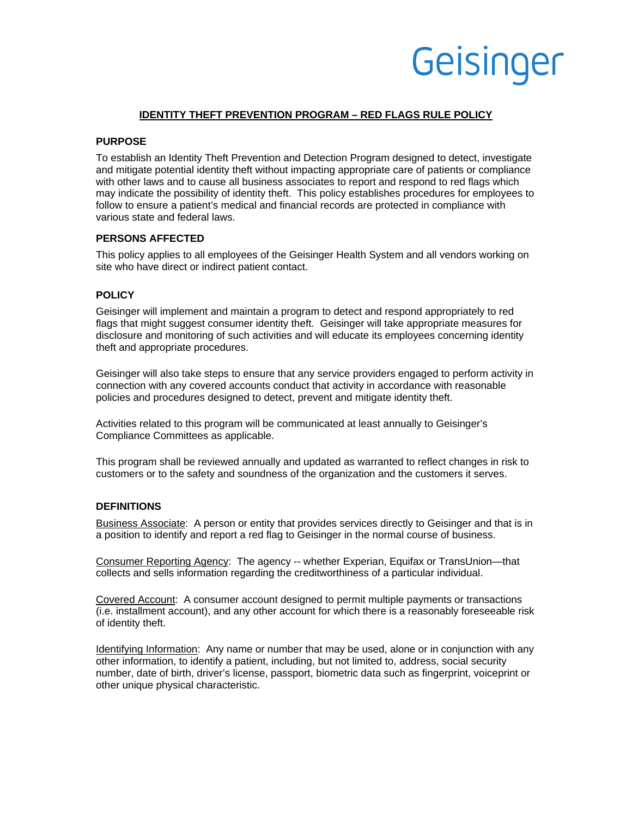### **IDENTITY THEFT PREVENTION PROGRAM – RED FLAGS RULE POLICY**

### **PURPOSE**

To establish an Identity Theft Prevention and Detection Program designed to detect, investigate and mitigate potential identity theft without impacting appropriate care of patients or compliance with other laws and to cause all business associates to report and respond to red flags which may indicate the possibility of identity theft. This policy establishes procedures for employees to follow to ensure a patient's medical and financial records are protected in compliance with various state and federal laws.

### **PERSONS AFFECTED**

This policy applies to all employees of the Geisinger Health System and all vendors working on site who have direct or indirect patient contact.

### **POLICY**

Geisinger will implement and maintain a program to detect and respond appropriately to red flags that might suggest consumer identity theft. Geisinger will take appropriate measures for disclosure and monitoring of such activities and will educate its employees concerning identity theft and appropriate procedures.

Geisinger will also take steps to ensure that any service providers engaged to perform activity in connection with any covered accounts conduct that activity in accordance with reasonable policies and procedures designed to detect, prevent and mitigate identity theft.

Activities related to this program will be communicated at least annually to Geisinger's Compliance Committees as applicable.

This program shall be reviewed annually and updated as warranted to reflect changes in risk to customers or to the safety and soundness of the organization and the customers it serves.

### **DEFINITIONS**

Business Associate: A person or entity that provides services directly to Geisinger and that is in a position to identify and report a red flag to Geisinger in the normal course of business.

Consumer Reporting Agency: The agency -- whether Experian, Equifax or TransUnion—that collects and sells information regarding the creditworthiness of a particular individual.

Covered Account: A consumer account designed to permit multiple payments or transactions (i.e. installment account), and any other account for which there is a reasonably foreseeable risk of identity theft.

Identifying Information: Any name or number that may be used, alone or in conjunction with any other information, to identify a patient, including, but not limited to, address, social security number, date of birth, driver's license, passport, biometric data such as fingerprint, voiceprint or other unique physical characteristic.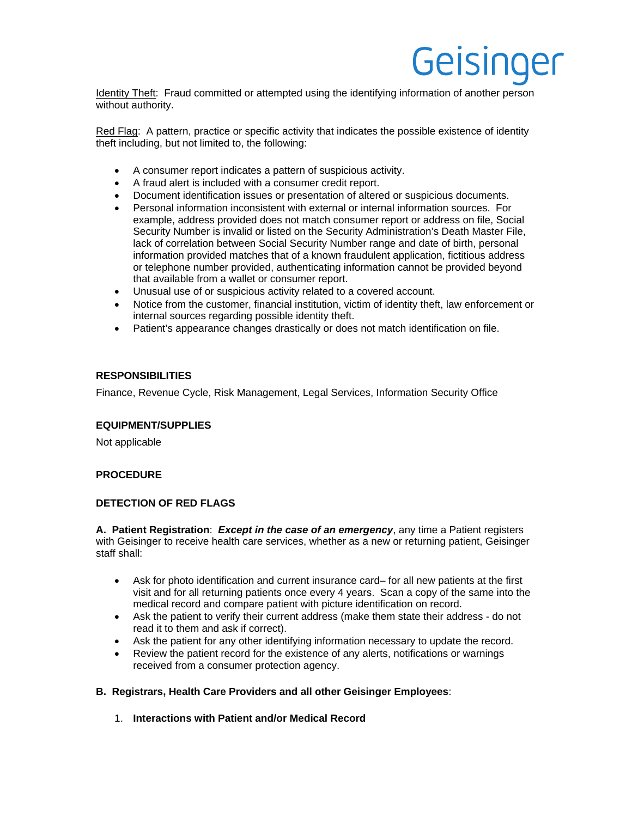Identity Theft: Fraud committed or attempted using the identifying information of another person without authority.

Red Flag: A pattern, practice or specific activity that indicates the possible existence of identity theft including, but not limited to, the following:

- A consumer report indicates a pattern of suspicious activity.
- A fraud alert is included with a consumer credit report.
- Document identification issues or presentation of altered or suspicious documents.
- Personal information inconsistent with external or internal information sources. For example, address provided does not match consumer report or address on file, Social Security Number is invalid or listed on the Security Administration's Death Master File, lack of correlation between Social Security Number range and date of birth, personal information provided matches that of a known fraudulent application, fictitious address or telephone number provided, authenticating information cannot be provided beyond that available from a wallet or consumer report.
- Unusual use of or suspicious activity related to a covered account.
- Notice from the customer, financial institution, victim of identity theft, law enforcement or internal sources regarding possible identity theft.
- Patient's appearance changes drastically or does not match identification on file.

### **RESPONSIBILITIES**

Finance, Revenue Cycle, Risk Management, Legal Services, Information Security Office

### **EQUIPMENT/SUPPLIES**

Not applicable

### **PROCEDURE**

### **DETECTION OF RED FLAGS**

**A. Patient Registration**: *Except in the case of an emergency*, any time a Patient registers with Geisinger to receive health care services, whether as a new or returning patient, Geisinger staff shall:

- Ask for photo identification and current insurance card– for all new patients at the first visit and for all returning patients once every 4 years. Scan a copy of the same into the medical record and compare patient with picture identification on record.
- Ask the patient to verify their current address (make them state their address do not read it to them and ask if correct).
- Ask the patient for any other identifying information necessary to update the record.
- Review the patient record for the existence of any alerts, notifications or warnings received from a consumer protection agency.

### **B. Registrars, Health Care Providers and all other Geisinger Employees**:

1. **Interactions with Patient and/or Medical Record**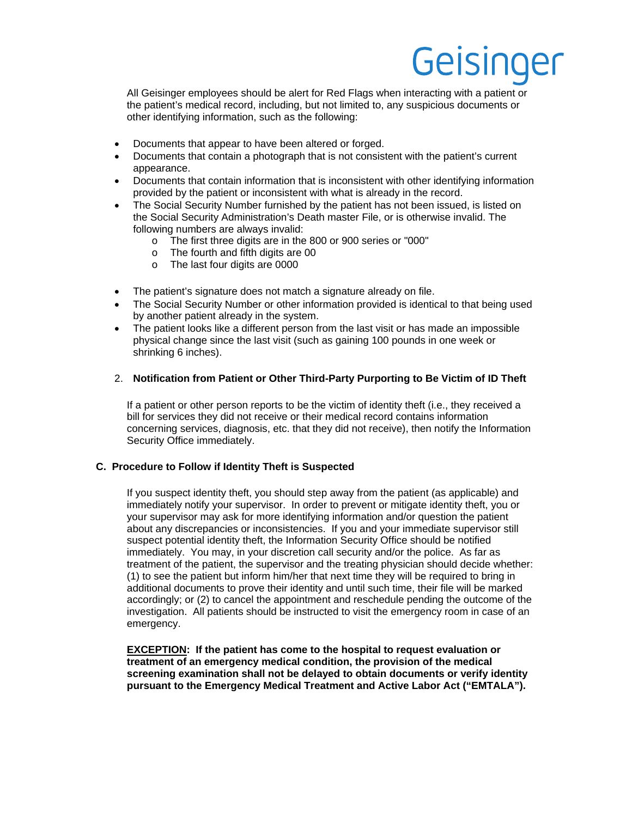All Geisinger employees should be alert for Red Flags when interacting with a patient or the patient's medical record, including, but not limited to, any suspicious documents or other identifying information, such as the following:

- Documents that appear to have been altered or forged.
- Documents that contain a photograph that is not consistent with the patient's current appearance.
- Documents that contain information that is inconsistent with other identifying information provided by the patient or inconsistent with what is already in the record.
- The Social Security Number furnished by the patient has not been issued, is listed on the Social Security Administration's Death master File, or is otherwise invalid. The following numbers are always invalid:
	- o The first three digits are in the 800 or 900 series or "000"
	- o The fourth and fifth digits are 00
	- o The last four digits are 0000
- The patient's signature does not match a signature already on file.
- The Social Security Number or other information provided is identical to that being used by another patient already in the system.
- The patient looks like a different person from the last visit or has made an impossible physical change since the last visit (such as gaining 100 pounds in one week or shrinking 6 inches).

### 2. **Notification from Patient or Other Third-Party Purporting to Be Victim of ID Theft**

If a patient or other person reports to be the victim of identity theft (i.e., they received a bill for services they did not receive or their medical record contains information concerning services, diagnosis, etc. that they did not receive), then notify the Information Security Office immediately.

### **C. Procedure to Follow if Identity Theft is Suspected**

If you suspect identity theft, you should step away from the patient (as applicable) and immediately notify your supervisor. In order to prevent or mitigate identity theft, you or your supervisor may ask for more identifying information and/or question the patient about any discrepancies or inconsistencies. If you and your immediate supervisor still suspect potential identity theft, the Information Security Office should be notified immediately. You may, in your discretion call security and/or the police. As far as treatment of the patient, the supervisor and the treating physician should decide whether: (1) to see the patient but inform him/her that next time they will be required to bring in additional documents to prove their identity and until such time, their file will be marked accordingly; or (2) to cancel the appointment and reschedule pending the outcome of the investigation. All patients should be instructed to visit the emergency room in case of an emergency.

**EXCEPTION: If the patient has come to the hospital to request evaluation or treatment of an emergency medical condition, the provision of the medical screening examination shall not be delayed to obtain documents or verify identity pursuant to the Emergency Medical Treatment and Active Labor Act ("EMTALA").**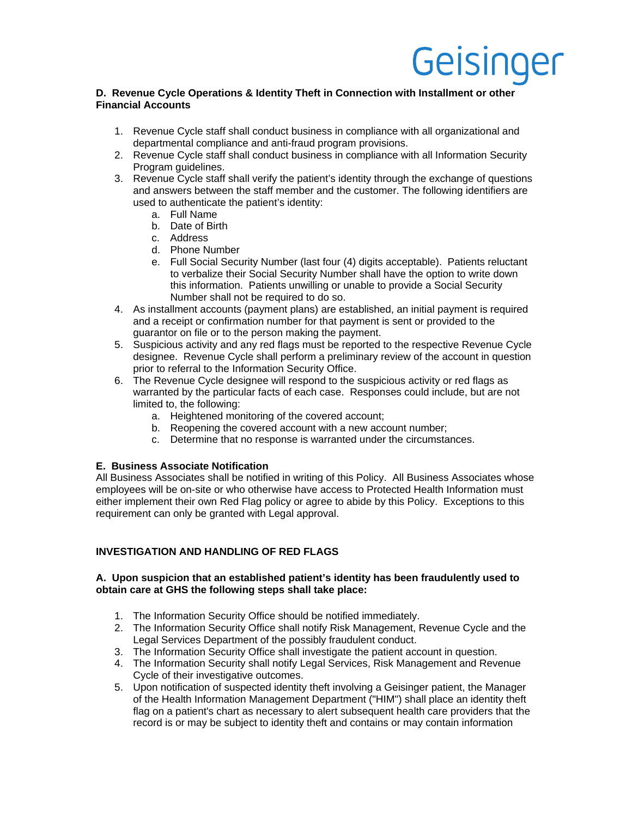### **D. Revenue Cycle Operations & Identity Theft in Connection with Installment or other Financial Accounts**

- 1. Revenue Cycle staff shall conduct business in compliance with all organizational and departmental compliance and anti-fraud program provisions.
- 2. Revenue Cycle staff shall conduct business in compliance with all Information Security Program guidelines.
- 3. Revenue Cycle staff shall verify the patient's identity through the exchange of questions and answers between the staff member and the customer. The following identifiers are used to authenticate the patient's identity:
	- a. Full Name
	- b. Date of Birth
	- c. Address
	- d. Phone Number
	- e. Full Social Security Number (last four (4) digits acceptable). Patients reluctant to verbalize their Social Security Number shall have the option to write down this information. Patients unwilling or unable to provide a Social Security Number shall not be required to do so.
- 4. As installment accounts (payment plans) are established, an initial payment is required and a receipt or confirmation number for that payment is sent or provided to the guarantor on file or to the person making the payment.
- 5. Suspicious activity and any red flags must be reported to the respective Revenue Cycle designee. Revenue Cycle shall perform a preliminary review of the account in question prior to referral to the Information Security Office.
- 6. The Revenue Cycle designee will respond to the suspicious activity or red flags as warranted by the particular facts of each case. Responses could include, but are not limited to, the following:
	- a. Heightened monitoring of the covered account;
	- b. Reopening the covered account with a new account number;
	- c. Determine that no response is warranted under the circumstances.

### **E. Business Associate Notification**

All Business Associates shall be notified in writing of this Policy. All Business Associates whose employees will be on-site or who otherwise have access to Protected Health Information must either implement their own Red Flag policy or agree to abide by this Policy. Exceptions to this requirement can only be granted with Legal approval.

### **INVESTIGATION AND HANDLING OF RED FLAGS**

#### **A. Upon suspicion that an established patient's identity has been fraudulently used to obtain care at GHS the following steps shall take place:**

- 1. The Information Security Office should be notified immediately.
- 2. The Information Security Office shall notify Risk Management, Revenue Cycle and the Legal Services Department of the possibly fraudulent conduct.
- 3. The Information Security Office shall investigate the patient account in question.
- 4. The Information Security shall notify Legal Services, Risk Management and Revenue Cycle of their investigative outcomes.
- 5. Upon notification of suspected identity theft involving a Geisinger patient, the Manager of the Health Information Management Department ("HIM") shall place an identity theft flag on a patient's chart as necessary to alert subsequent health care providers that the record is or may be subject to identity theft and contains or may contain information